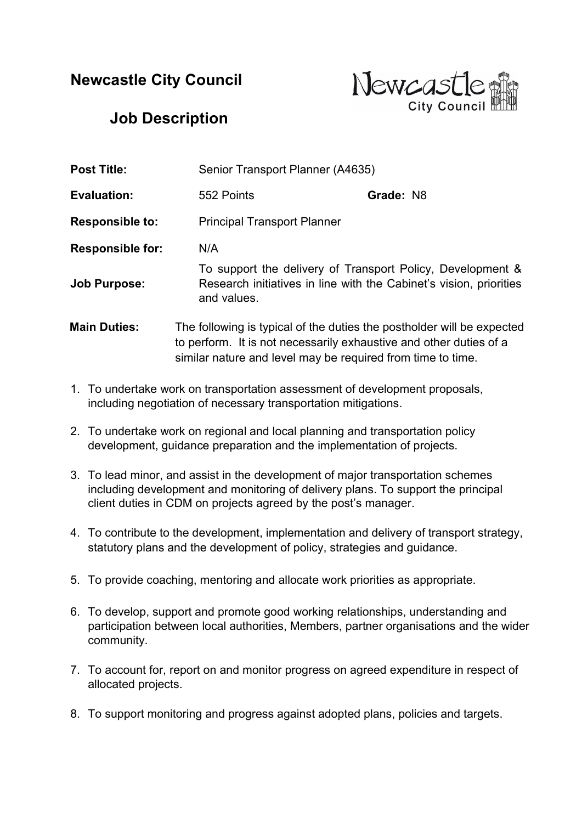## Newcastle City Council



## Job Description

| <b>Post Title:</b>      |                                                                                                                                                                                                             | Senior Transport Planner (A4635)   |  |
|-------------------------|-------------------------------------------------------------------------------------------------------------------------------------------------------------------------------------------------------------|------------------------------------|--|
| <b>Evaluation:</b>      | 552 Points                                                                                                                                                                                                  | Grade: N8                          |  |
| <b>Responsible to:</b>  |                                                                                                                                                                                                             | <b>Principal Transport Planner</b> |  |
| <b>Responsible for:</b> | N/A                                                                                                                                                                                                         |                                    |  |
| <b>Job Purpose:</b>     | To support the delivery of Transport Policy, Development &<br>Research initiatives in line with the Cabinet's vision, priorities<br>and values.                                                             |                                    |  |
| <b>Main Duties:</b>     | The following is typical of the duties the postholder will be expected<br>to perform. It is not necessarily exhaustive and other duties of a<br>similar nature and level may be required from time to time. |                                    |  |

- 1. To undertake work on transportation assessment of development proposals, including negotiation of necessary transportation mitigations.
- 2. To undertake work on regional and local planning and transportation policy development, guidance preparation and the implementation of projects.
- 3. To lead minor, and assist in the development of major transportation schemes including development and monitoring of delivery plans. To support the principal client duties in CDM on projects agreed by the post's manager.
- 4. To contribute to the development, implementation and delivery of transport strategy, statutory plans and the development of policy, strategies and guidance.
- 5. To provide coaching, mentoring and allocate work priorities as appropriate.
- 6. To develop, support and promote good working relationships, understanding and participation between local authorities, Members, partner organisations and the wider community.
- 7. To account for, report on and monitor progress on agreed expenditure in respect of allocated projects.
- 8. To support monitoring and progress against adopted plans, policies and targets.